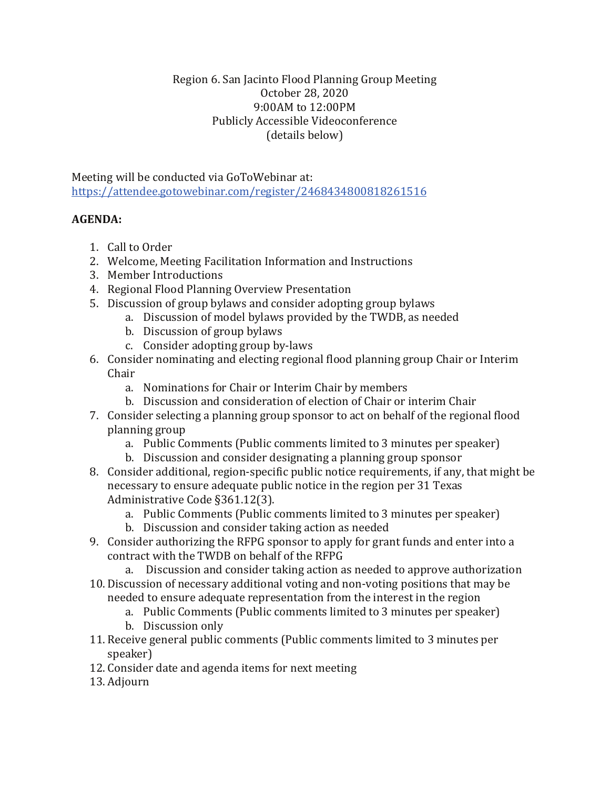## Region 6. San Jacinto Flood Planning Group Meeting October 28, 2020 9:00AM to 12:00PM Publicly Accessible Videoconference (details below)

Meeting will be conducted via GoToWebinar at: <https://attendee.gotowebinar.com/register/2468434800818261516>

## **AGENDA:**

- 1. Call to Order
- 2. Welcome, Meeting Facilitation Information and Instructions
- 3. Member Introductions
- 4. Regional Flood Planning Overview Presentation
- 5. Discussion of group bylaws and consider adopting group bylaws
	- a. Discussion of model bylaws provided by the TWDB, as needed
	- b. Discussion of group bylaws
	- c. Consider adopting group by-laws
- 6. Consider nominating and electing regional flood planning group Chair or Interim Chair
	- a. Nominations for Chair or Interim Chair by members
	- b. Discussion and consideration of election of Chair or interim Chair
- 7. Consider selecting a planning group sponsor to act on behalf of the regional flood planning group
	- a. Public Comments (Public comments limited to 3 minutes per speaker)
	- b. Discussion and consider designating a planning group sponsor
- 8. Consider additional, region-specific public notice requirements, if any, that might be necessary to ensure adequate public notice in the region per 31 Texas Administrative Code §361.12(3).
	- a. Public Comments (Public comments limited to 3 minutes per speaker)
	- b. Discussion and consider taking action as needed
- 9. Consider authorizing the RFPG sponsor to apply for grant funds and enter into a contract with the TWDB on behalf of the RFPG
	- a. Discussion and consider taking action as needed to approve authorization
- 10. Discussion of necessary additional voting and non-voting positions that may be needed to ensure adequate representation from the interest in the region
	- a. Public Comments (Public comments limited to 3 minutes per speaker)
	- b. Discussion only
- 11. Receive general public comments (Public comments limited to 3 minutes per speaker)
- 12. Consider date and agenda items for next meeting
- 13. Adjourn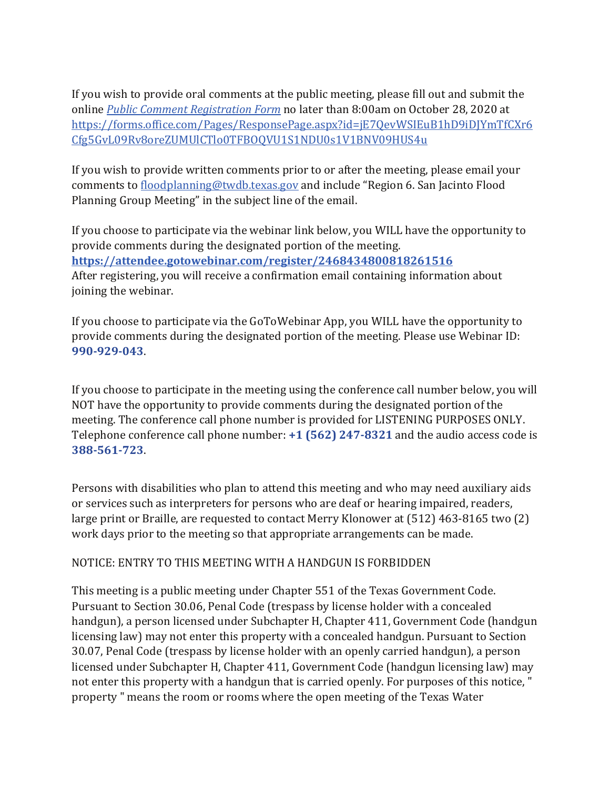If you wish to provide oral comments at the public meeting, please fill out and submit the online *[Public Comment Registration Form](https://forms.office.com/Pages/ResponsePage.aspx?id=jE7QevWSIEuB1hD9iDJYmTfCXr6Cfg5GvL09Rv8oreZUMUlCTlo0TFBOQVU1S1NDU0s1V1BNV09HUS4u)* no later than 8:00am on October 28, 2020 at [https://forms.office.com/Pages/ResponsePage.aspx?id=jE7QevWSIEuB1hD9iDJYmTfCXr6](https://forms.office.com/Pages/ResponsePage.aspx?id=jE7QevWSIEuB1hD9iDJYmTfCXr6Cfg5GvL09Rv8oreZUMUlCTlo0TFBOQVU1S1NDU0s1V1BNV09HUS4u) [Cfg5GvL09Rv8oreZUMUlCTlo0TFBOQVU1S1NDU0s1V1BNV09HUS4u](https://forms.office.com/Pages/ResponsePage.aspx?id=jE7QevWSIEuB1hD9iDJYmTfCXr6Cfg5GvL09Rv8oreZUMUlCTlo0TFBOQVU1S1NDU0s1V1BNV09HUS4u)

If you wish to provide written comments prior to or after the meeting, please email your comments to [floodplanning@twdb.texas.gov](mailto:floodplanning@twdb.texas.gov) and include "Region 6. San Jacinto Flood Planning Group Meeting" in the subject line of the email.

If you choose to participate via the webinar link below, you WILL have the opportunity to provide comments during the designated portion of the meeting. **<https://attendee.gotowebinar.com/register/2468434800818261516>** After registering, you will receive a confirmation email containing information about joining the webinar.

If you choose to participate via the GoToWebinar App, you WILL have the opportunity to provide comments during the designated portion of the meeting. Please use Webinar ID: **990-929-043**.

If you choose to participate in the meeting using the conference call number below, you will NOT have the opportunity to provide comments during the designated portion of the meeting. The conference call phone number is provided for LISTENING PURPOSES ONLY. Telephone conference call phone number: **+1 (562) 247-8321** and the audio access code is **388-561-723**.

Persons with disabilities who plan to attend this meeting and who may need auxiliary aids or services such as interpreters for persons who are deaf or hearing impaired, readers, large print or Braille, are requested to contact Merry Klonower at (512) 463-8165 two (2) work days prior to the meeting so that appropriate arrangements can be made.

## NOTICE: ENTRY TO THIS MEETING WITH A HANDGUN IS FORBIDDEN

This meeting is a public meeting under Chapter 551 of the Texas Government Code. Pursuant to Section 30.06, Penal Code (trespass by license holder with a concealed handgun), a person licensed under Subchapter H, Chapter 411, Government Code (handgun licensing law) may not enter this property with a concealed handgun. Pursuant to Section 30.07, Penal Code (trespass by license holder with an openly carried handgun), a person licensed under Subchapter H, Chapter 411, Government Code (handgun licensing law) may not enter this property with a handgun that is carried openly. For purposes of this notice, " property " means the room or rooms where the open meeting of the Texas Water